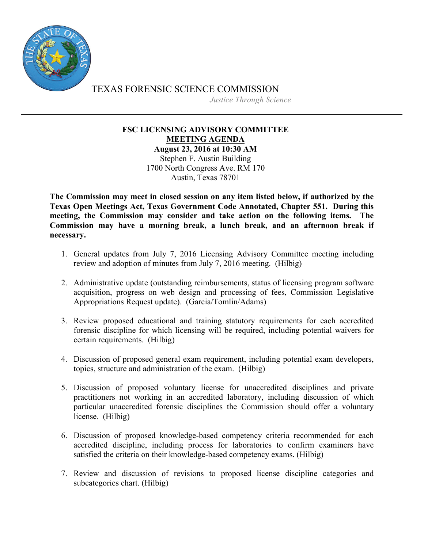

TEXAS FORENSIC SCIENCE COMMISSION *Justice Through Science*

## **FSC LICENSING ADVISORY COMMITTEE MEETING AGENDA August 23, 2016 at 10:30 AM**

Stephen F. Austin Building 1700 North Congress Ave. RM 170 Austin, Texas 78701

**The Commission may meet in closed session on any item listed below, if authorized by the Texas Open Meetings Act, Texas Government Code Annotated, Chapter 551. During this meeting, the Commission may consider and take action on the following items. The Commission may have a morning break, a lunch break, and an afternoon break if necessary.**

- 1. General updates from July 7, 2016 Licensing Advisory Committee meeting including review and adoption of minutes from July 7, 2016 meeting. (Hilbig)
- 2. Administrative update (outstanding reimbursements, status of licensing program software acquisition, progress on web design and processing of fees, Commission Legislative Appropriations Request update). (Garcia/Tomlin/Adams)
- 3. Review proposed educational and training statutory requirements for each accredited forensic discipline for which licensing will be required, including potential waivers for certain requirements. (Hilbig)
- 4. Discussion of proposed general exam requirement, including potential exam developers, topics, structure and administration of the exam. (Hilbig)
- 5. Discussion of proposed voluntary license for unaccredited disciplines and private practitioners not working in an accredited laboratory, including discussion of which particular unaccredited forensic disciplines the Commission should offer a voluntary license. (Hilbig)
- 6. Discussion of proposed knowledge-based competency criteria recommended for each accredited discipline, including process for laboratories to confirm examiners have satisfied the criteria on their knowledge-based competency exams. (Hilbig)
- 7. Review and discussion of revisions to proposed license discipline categories and subcategories chart. (Hilbig)